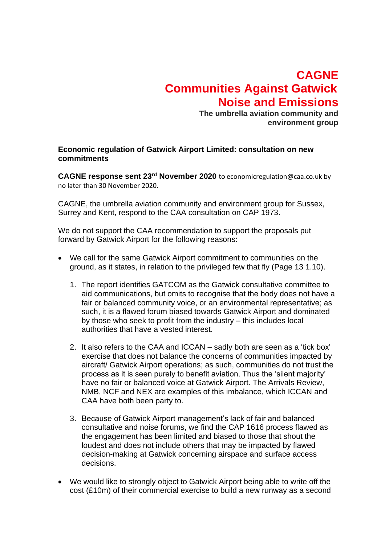## **CAGNE Communities Against Gatwick Noise and Emissions**

**The umbrella aviation community and environment group**

## **Economic regulation of Gatwick Airport Limited: consultation on new commitments**

**CAGNE response sent 23rd November 2020** to economicregulation@caa.co.uk by no later than 30 November 2020.

CAGNE, the umbrella aviation community and environment group for Sussex, Surrey and Kent, respond to the CAA consultation on CAP 1973.

We do not support the CAA recommendation to support the proposals put forward by Gatwick Airport for the following reasons:

- We call for the same Gatwick Airport commitment to communities on the ground, as it states, in relation to the privileged few that fly (Page 13 1.10).
	- 1. The report identifies GATCOM as the Gatwick consultative committee to aid communications, but omits to recognise that the body does not have a fair or balanced community voice, or an environmental representative; as such, it is a flawed forum biased towards Gatwick Airport and dominated by those who seek to profit from the industry – this includes local authorities that have a vested interest.
	- 2. It also refers to the CAA and ICCAN sadly both are seen as a 'tick box' exercise that does not balance the concerns of communities impacted by aircraft/ Gatwick Airport operations; as such, communities do not trust the process as it is seen purely to benefit aviation. Thus the 'silent majority' have no fair or balanced voice at Gatwick Airport. The Arrivals Review, NMB, NCF and NEX are examples of this imbalance, which ICCAN and CAA have both been party to.
	- 3. Because of Gatwick Airport management's lack of fair and balanced consultative and noise forums, we find the CAP 1616 process flawed as the engagement has been limited and biased to those that shout the loudest and does not include others that may be impacted by flawed decision-making at Gatwick concerning airspace and surface access decisions.
- We would like to strongly object to Gatwick Airport being able to write off the cost (£10m) of their commercial exercise to build a new runway as a second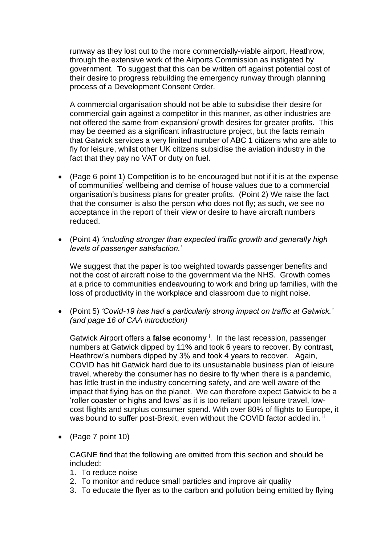runway as they lost out to the more commercially-viable airport, Heathrow, through the extensive work of the Airports Commission as instigated by government. To suggest that this can be written off against potential cost of their desire to progress rebuilding the emergency runway through planning process of a Development Consent Order.

A commercial organisation should not be able to subsidise their desire for commercial gain against a competitor in this manner, as other industries are not offered the same from expansion/ growth desires for greater profits. This may be deemed as a significant infrastructure project, but the facts remain that Gatwick services a very limited number of ABC 1 citizens who are able to fly for leisure, whilst other UK citizens subsidise the aviation industry in the fact that they pay no VAT or duty on fuel.

- (Page 6 point 1) Competition is to be encouraged but not if it is at the expense of communities' wellbeing and demise of house values due to a commercial organisation's business plans for greater profits. (Point 2) We raise the fact that the consumer is also the person who does not fly; as such, we see no acceptance in the report of their view or desire to have aircraft numbers reduced.
- (Point 4) *'including stronger than expected traffic growth and generally high levels of passenger satisfaction.'*

We suggest that the paper is too weighted towards passenger benefits and not the cost of aircraft noise to the government via the NHS. Growth comes at a price to communities endeavouring to work and bring up families, with the loss of productivity in the workplace and classroom due to night noise.

• (Point 5) *'Covid-19 has had a particularly strong impact on traffic at Gatwick.' (and page 16 of CAA introduction)*

Gatwick Airport offers a **false economy** <sup>i</sup> . In the last recession, passenger numbers at Gatwick dipped by 11% and took 6 years to recover. By contrast, Heathrow's numbers dipped by 3% and took 4 years to recover. Again, COVID has hit Gatwick hard due to its unsustainable business plan of leisure travel, whereby the consumer has no desire to fly when there is a pandemic, has little trust in the industry concerning safety, and are well aware of the impact that flying has on the planet. We can therefore expect Gatwick to be a 'roller coaster or highs and lows' as it is too reliant upon leisure travel, lowcost flights and surplus consumer spend. With over 80% of flights to Europe, it was bound to suffer post-Brexit, even without the COVID factor added in. ii

• (Page 7 point 10)

CAGNE find that the following are omitted from this section and should be included:

- 1. To reduce noise
- 2. To monitor and reduce small particles and improve air quality
- 3. To educate the flyer as to the carbon and pollution being emitted by flying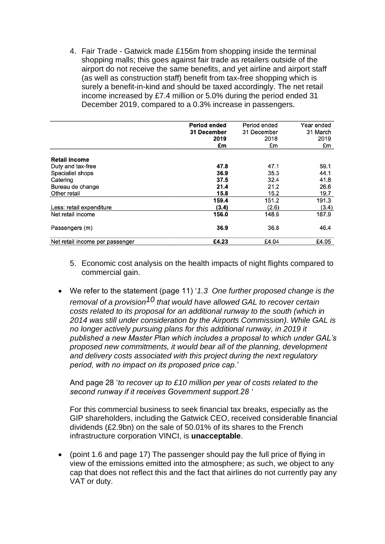4. Fair Trade - Gatwick made £156m from shopping inside the terminal shopping malls; this goes against fair trade as retailers outside of the airport do not receive the same benefits, and yet airline and airport staff (as well as construction staff) benefit from tax-free shopping which is surely a benefit-in-kind and should be taxed accordingly. The net retail income increased by £7.4 million or 5.0% during the period ended 31 December 2019, compared to a 0.3% increase in passengers.

|                                 | <b>Period ended</b><br>31 December<br>2019 | Period ended<br>31 December<br>2018 | Year ended<br>31 March<br>2019 |
|---------------------------------|--------------------------------------------|-------------------------------------|--------------------------------|
|                                 | £m                                         | £m                                  | £m                             |
| <b>Retail income</b>            |                                            |                                     |                                |
| Duty and tax-free               | 47.8                                       | 47.1                                | 59.1                           |
| Specialist shops                | 36.9                                       | 35.3                                | 44.1                           |
| Catering                        | 37.5                                       | 32.4                                | 41.8                           |
| Bureau de change                | 21.4                                       | 21.2                                | 26.6                           |
| Other retail                    | 15.8                                       | 15.2                                | 19.7                           |
|                                 | 159.4                                      | 151.2                               | 191.3                          |
| Less: retail expenditure        | (3.4)                                      | (2.6)                               | (3.4)                          |
| Net retail income               | 156.0                                      | 148.6                               | 187.9                          |
| Passengers (m)                  | 36.9                                       | 36.8                                | 46.4                           |
| Net retail income per passenger | £4.23                                      | £4.04                               | £4.05                          |

- 5. Economic cost analysis on the health impacts of night flights compared to commercial gain.
- We refer to the statement (page 11) '*1.3 One further proposed change is the removal of a provision10 that would have allowed GAL to recover certain costs related to its proposal for an additional runway to the south (which in 2014 was still under consideration by the Airports Commission). While GAL is no longer actively pursuing plans for this additional runway, in 2019 it published a new Master Plan which includes a proposal to which under GAL's proposed new commitments, it would bear all of the planning, development and delivery costs associated with this project during the next regulatory period, with no impact on its proposed price cap.'*

And page 28 '*to recover up to £10 million per year of costs related to the second runway if it receives Government support.28 '*

For this commercial business to seek financial tax breaks, especially as the GIP shareholders, including the Gatwick CEO, received considerable financial dividends (£2.9bn) on the sale of 50.01% of its shares to the French infrastructure corporation VINCI, is **unacceptable**.

• (point 1.6 and page 17) The passenger should pay the full price of flying in view of the emissions emitted into the atmosphere; as such, we object to any cap that does not reflect this and the fact that airlines do not currently pay any VAT or duty.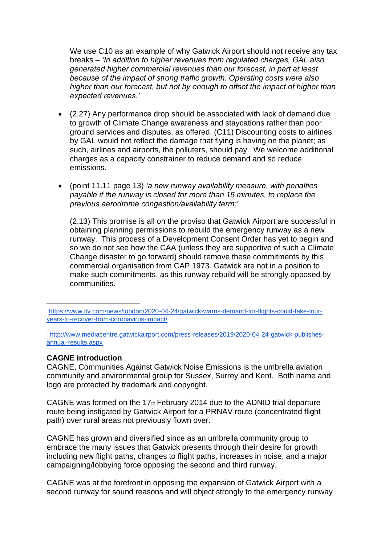We use C10 as an example of why Gatwick Airport should not receive any tax breaks – *'In addition to higher revenues from regulated charges, GAL also generated higher commercial revenues than our forecast, in part at least because of the impact of strong traffic growth. Operating costs were also higher than our forecast, but not by enough to offset the impact of higher than expected revenues.'*

- (2.27) Any performance drop should be associated with lack of demand due to growth of Climate Change awareness and staycations rather than poor ground services and disputes, as offered. (C11) Discounting costs to airlines by GAL would not reflect the damage that flying is having on the planet; as such, airlines and airports, the polluters, should pay. We welcome additional charges as a capacity constrainer to reduce demand and so reduce emissions.
- (point 11.11 page 13) *'a new runway availability measure, with penalties payable if the runway is closed for more than 15 minutes, to replace the previous aerodrome congestion/availability term;'*

(2.13) This promise is all on the proviso that Gatwick Airport are successful in obtaining planning permissions to rebuild the emergency runway as a new runway. This process of a Development Consent Order has yet to begin and so we do not see how the CAA (unless they are supportive of such a Climate Change disaster to go forward) should remove these commitments by this commercial organisation from CAP 1973. Gatwick are not in a position to make such commitments, as this runway rebuild will be strongly opposed by communities.

## **CAGNE introduction**

CAGNE, Communities Against Gatwick Noise Emissions is the umbrella aviation community and environmental group for Sussex, Surrey and Kent. Both name and logo are protected by trademark and copyright.

CAGNE was formed on the  $17<sub>th</sub>$  February 2014 due to the ADNID trial departure route being instigated by Gatwick Airport for a PRNAV route (concentrated flight path) over rural areas not previously flown over.

CAGNE has grown and diversified since as an umbrella community group to embrace the many issues that Gatwick presents through their desire for growth including new flight paths, changes to flight paths, increases in noise, and a major campaigning/lobbying force opposing the second and third runway.

CAGNE was at the forefront in opposing the expansion of Gatwick Airport with a second runway for sound reasons and will object strongly to the emergency runway

<sup>i</sup> [https://www.itv.com/news/london/2020-04-24/gatwick-warns-demand-for-flights-could-take-four](https://www.itv.com/news/london/2020-04-24/gatwick-warns-demand-for-flights-could-take-four-years-to-recover-from-coronavirus-impact/)[years-to-recover-from-coronavirus-impact/](https://www.itv.com/news/london/2020-04-24/gatwick-warns-demand-for-flights-could-take-four-years-to-recover-from-coronavirus-impact/)

ii [http://www.mediacentre.gatwickairport.com/press-releases/2019/2020-04-24-gatwick-publishes](http://www.mediacentre.gatwickairport.com/press-releases/2019/2020-04-24-gatwick-publishes-annual-results.aspx)[annual-results.aspx](http://www.mediacentre.gatwickairport.com/press-releases/2019/2020-04-24-gatwick-publishes-annual-results.aspx)